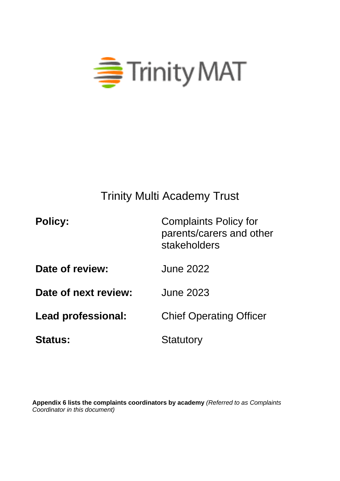

# Trinity Multi Academy Trust

| <b>Policy:</b>       | <b>Complaints Policy for</b><br>parents/carers and other<br>stakeholders |
|----------------------|--------------------------------------------------------------------------|
| Date of review:      | <b>June 2022</b>                                                         |
| Date of next review: | <b>June 2023</b>                                                         |
| Lead professional:   | <b>Chief Operating Officer</b>                                           |
| <b>Status:</b>       | <b>Statutory</b>                                                         |

**Appendix 6 lists the complaints coordinators by academy** *(Referred to as Complaints Coordinator in this document)*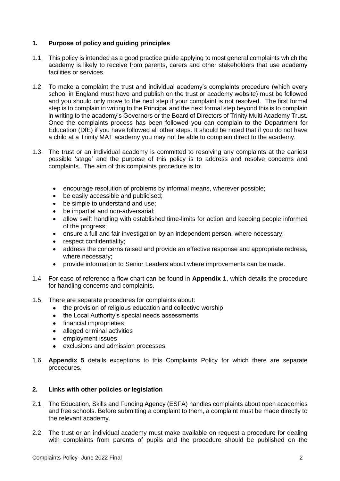# **1. Purpose of policy and guiding principles**

- 1.1. This policy is intended as a good practice guide applying to most general complaints which the academy is likely to receive from parents, carers and other stakeholders that use academy facilities or services.
- 1.2. To make a complaint the trust and individual academy's complaints procedure (which every school in England must have and publish on the trust or academy website) must be followed and you should only move to the next step if your complaint is not resolved. The first formal step is to complain in writing to the Principal and the next formal step beyond this is to complain in writing to the academy's Governors or the Board of Directors of Trinity Multi Academy Trust. Once the complaints process has been followed you can complain to the Department for Education (DfE) if you have followed all other steps. It should be noted that if you do not have a child at a Trinity MAT academy you may not be able to complain direct to the academy.
- 1.3. The trust or an individual academy is committed to resolving any complaints at the earliest possible 'stage' and the purpose of this policy is to address and resolve concerns and complaints. The aim of this complaints procedure is to:
	- encourage resolution of problems by informal means, wherever possible;
	- be easily accessible and publicised;
	- be simple to understand and use:
	- be impartial and non-adversarial;
	- allow swift handling with established time-limits for action and keeping people informed of the progress;
	- ensure a full and fair investigation by an independent person, where necessary;
	- respect confidentiality;
	- address the concerns raised and provide an effective response and appropriate redress, where necessary;
	- provide information to Senior Leaders about where improvements can be made.
- 1.4. For ease of reference a flow chart can be found in **Appendix 1**, which details the procedure for handling concerns and complaints.
- 1.5. There are separate procedures for complaints about:
	- the provision of religious education and collective worship
	- the Local Authority's special needs assessments
	- financial improprieties
	- alleged criminal activities
	- employment issues
	- exclusions and admission processes
- 1.6. **Appendix 5** details exceptions to this Complaints Policy for which there are separate procedures.

## **2. Links with other policies or legislation**

- 2.1. The Education, Skills and Funding Agency (ESFA) handles complaints about open academies and free schools. Before submitting a complaint to them, a complaint must be made directly to the relevant academy.
- 2.2. The trust or an individual academy must make available on request a procedure for dealing with complaints from parents of pupils and the procedure should be published on the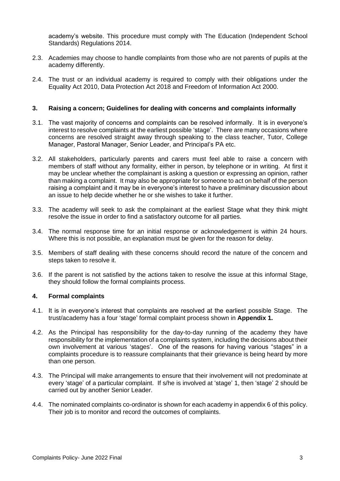academy's website. This procedure must comply with The Education (Independent School Standards) Regulations 2014.

- 2.3. Academies may choose to handle complaints from those who are not parents of pupils at the academy differently.
- 2.4. The trust or an individual academy is required to comply with their obligations under the Equality Act 2010, Data Protection Act 2018 and Freedom of Information Act 2000.

#### **3. Raising a concern; Guidelines for dealing with concerns and complaints informally**

- 3.1. The vast majority of concerns and complaints can be resolved informally. It is in everyone's interest to resolve complaints at the earliest possible 'stage'. There are many occasions where concerns are resolved straight away through speaking to the class teacher, Tutor, College Manager, Pastoral Manager, Senior Leader, and Principal's PA etc.
- 3.2. All stakeholders, particularly parents and carers must feel able to raise a concern with members of staff without any formality, either in person, by telephone or in writing. At first it may be unclear whether the complainant is asking a question or expressing an opinion, rather than making a complaint. It may also be appropriate for someone to act on behalf of the person raising a complaint and it may be in everyone's interest to have a preliminary discussion about an issue to help decide whether he or she wishes to take it further.
- 3.3. The academy will seek to ask the complainant at the earliest Stage what they think might resolve the issue in order to find a satisfactory outcome for all parties.
- 3.4. The normal response time for an initial response or acknowledgement is within 24 hours. Where this is not possible, an explanation must be given for the reason for delay.
- 3.5. Members of staff dealing with these concerns should record the nature of the concern and steps taken to resolve it.
- 3.6. If the parent is not satisfied by the actions taken to resolve the issue at this informal Stage, they should follow the formal complaints process.

## **4. Formal complaints**

- 4.1. It is in everyone's interest that complaints are resolved at the earliest possible Stage. The trust/academy has a four 'stage' formal complaint process shown in **Appendix 1.**
- 4.2. As the Principal has responsibility for the day-to-day running of the academy they have responsibility for the implementation of a complaints system, including the decisions about their own involvement at various 'stages'. One of the reasons for having various "stages" in a complaints procedure is to reassure complainants that their grievance is being heard by more than one person.
- 4.3. The Principal will make arrangements to ensure that their involvement will not predominate at every 'stage' of a particular complaint. If s/he is involved at 'stage' 1, then 'stage' 2 should be carried out by another Senior Leader.
- 4.4. The nominated complaints co-ordinator is shown for each academy in appendix 6 of this policy. Their job is to monitor and record the outcomes of complaints.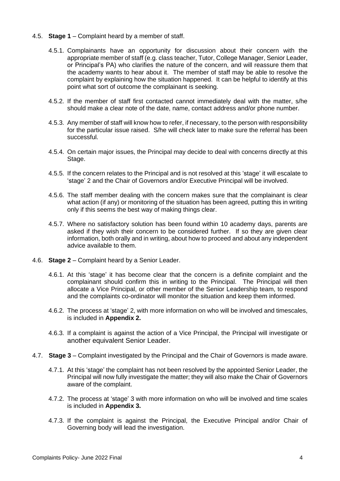- 4.5. **Stage 1** Complaint heard by a member of staff.
	- 4.5.1. Complainants have an opportunity for discussion about their concern with the appropriate member of staff (e.g. class teacher, Tutor, College Manager, Senior Leader, or Principal's PA) who clarifies the nature of the concern, and will reassure them that the academy wants to hear about it. The member of staff may be able to resolve the complaint by explaining how the situation happened. It can be helpful to identify at this point what sort of outcome the complainant is seeking.
	- 4.5.2. If the member of staff first contacted cannot immediately deal with the matter, s/he should make a clear note of the date, name, contact address and/or phone number.
	- 4.5.3. Any member of staff will know how to refer, if necessary, to the person with responsibility for the particular issue raised. S/he will check later to make sure the referral has been successful.
	- 4.5.4. On certain major issues, the Principal may decide to deal with concerns directly at this Stage.
	- 4.5.5. If the concern relates to the Principal and is not resolved at this 'stage' it will escalate to 'stage' 2 and the Chair of Governors and/or Executive Principal will be involved.
	- 4.5.6. The staff member dealing with the concern makes sure that the complainant is clear what action (if any) or monitoring of the situation has been agreed, putting this in writing only if this seems the best way of making things clear.
	- 4.5.7. Where no satisfactory solution has been found within 10 academy days, parents are asked if they wish their concern to be considered further. If so they are given clear information, both orally and in writing, about how to proceed and about any independent advice available to them.
- 4.6. **Stage 2** Complaint heard by a Senior Leader.
	- 4.6.1. At this 'stage' it has become clear that the concern is a definite complaint and the complainant should confirm this in writing to the Principal. The Principal will then allocate a Vice Principal, or other member of the Senior Leadership team, to respond and the complaints co-ordinator will monitor the situation and keep them informed.
	- 4.6.2. The process at 'stage' 2, with more information on who will be involved and timescales, is included in **Appendix 2.**
	- 4.6.3. If a complaint is against the action of a Vice Principal, the Principal will investigate or another equivalent Senior Leader.
- 4.7. **Stage 3** Complaint investigated by the Principal and the Chair of Governors is made aware.
	- 4.7.1. At this 'stage' the complaint has not been resolved by the appointed Senior Leader, the Principal will now fully investigate the matter; they will also make the Chair of Governors aware of the complaint.
	- 4.7.2. The process at 'stage' 3 with more information on who will be involved and time scales is included in **Appendix 3.**
	- 4.7.3. If the complaint is against the Principal, the Executive Principal and/or Chair of Governing body will lead the investigation.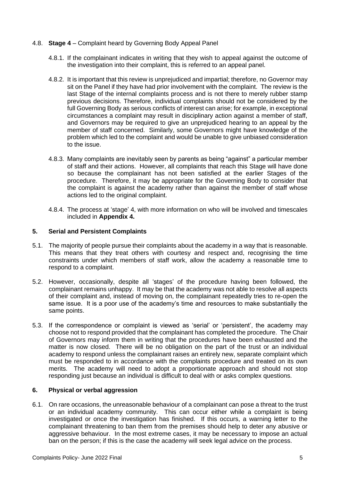- 4.8. **Stage 4** Complaint heard by Governing Body Appeal Panel
	- 4.8.1. If the complainant indicates in writing that they wish to appeal against the outcome of the investigation into their complaint, this is referred to an appeal panel.
	- 4.8.2. It is important that this review is unprejudiced and impartial; therefore, no Governor may sit on the Panel if they have had prior involvement with the complaint. The review is the last Stage of the internal complaints process and is not there to merely rubber stamp previous decisions. Therefore, individual complaints should not be considered by the full Governing Body as serious conflicts of interest can arise; for example, in exceptional circumstances a complaint may result in disciplinary action against a member of staff, and Governors may be required to give an unprejudiced hearing to an appeal by the member of staff concerned. Similarly, some Governors might have knowledge of the problem which led to the complaint and would be unable to give unbiased consideration to the issue.
	- 4.8.3. Many complaints are inevitably seen by parents as being "against" a particular member of staff and their actions. However, all complaints that reach this Stage will have done so because the complainant has not been satisfied at the earlier Stages of the procedure. Therefore, it may be appropriate for the Governing Body to consider that the complaint is against the academy rather than against the member of staff whose actions led to the original complaint.
	- 4.8.4. The process at 'stage' 4, with more information on who will be involved and timescales included in **Appendix 4.**

#### **5. Serial and Persistent Complaints**

- 5.1. The majority of people pursue their complaints about the academy in a way that is reasonable. This means that they treat others with courtesy and respect and, recognising the time constraints under which members of staff work, allow the academy a reasonable time to respond to a complaint.
- 5.2. However, occasionally, despite all 'stages' of the procedure having been followed, the complainant remains unhappy. It may be that the academy was not able to resolve all aspects of their complaint and, instead of moving on, the complainant repeatedly tries to re-open the same issue. It is a poor use of the academy's time and resources to make substantially the same points.
- 5.3. If the correspondence or complaint is viewed as 'serial' or 'persistent', the academy may choose not to respond provided that the complainant has completed the procedure. The Chair of Governors may inform them in writing that the procedures have been exhausted and the matter is now closed. There will be no obligation on the part of the trust or an individual academy to respond unless the complainant raises an entirely new, separate complaint which must be responded to in accordance with the complaints procedure and treated on its own merits. The academy will need to adopt a proportionate approach and should not stop responding just because an individual is difficult to deal with or asks complex questions.

## **6. Physical or verbal aggression**

6.1. On rare occasions, the unreasonable behaviour of a complainant can pose a threat to the trust or an individual academy community. This can occur either while a complaint is being investigated or once the investigation has finished. If this occurs, a warning letter to the complainant threatening to ban them from the premises should help to deter any abusive or aggressive behaviour. In the most extreme cases, it may be necessary to impose an actual ban on the person; if this is the case the academy will seek legal advice on the process.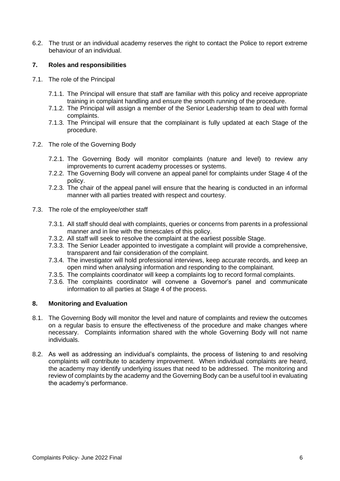6.2. The trust or an individual academy reserves the right to contact the Police to report extreme behaviour of an individual.

# **7. Roles and responsibilities**

- 7.1. The role of the Principal
	- 7.1.1. The Principal will ensure that staff are familiar with this policy and receive appropriate training in complaint handling and ensure the smooth running of the procedure.
	- 7.1.2. The Principal will assign a member of the Senior Leadership team to deal with formal complaints.
	- 7.1.3. The Principal will ensure that the complainant is fully updated at each Stage of the procedure.
- 7.2. The role of the Governing Body
	- 7.2.1. The Governing Body will monitor complaints (nature and level) to review any improvements to current academy processes or systems.
	- 7.2.2. The Governing Body will convene an appeal panel for complaints under Stage 4 of the policy.
	- 7.2.3. The chair of the appeal panel will ensure that the hearing is conducted in an informal manner with all parties treated with respect and courtesy.
- 7.3. The role of the employee/other staff
	- 7.3.1. All staff should deal with complaints, queries or concerns from parents in a professional manner and in line with the timescales of this policy.
	- 7.3.2. All staff will seek to resolve the complaint at the earliest possible Stage.
	- 7.3.3. The Senior Leader appointed to investigate a complaint will provide a comprehensive, transparent and fair consideration of the complaint.
	- 7.3.4. The investigator will hold professional interviews, keep accurate records, and keep an open mind when analysing information and responding to the complainant.
	- 7.3.5. The complaints coordinator will keep a complaints log to record formal complaints.
	- 7.3.6. The complaints coordinator will convene a Governor's panel and communicate information to all parties at Stage 4 of the process.

## **8. Monitoring and Evaluation**

- 8.1. The Governing Body will monitor the level and nature of complaints and review the outcomes on a regular basis to ensure the effectiveness of the procedure and make changes where necessary. Complaints information shared with the whole Governing Body will not name individuals.
- 8.2. As well as addressing an individual's complaints, the process of listening to and resolving complaints will contribute to academy improvement. When individual complaints are heard, the academy may identify underlying issues that need to be addressed. The monitoring and review of complaints by the academy and the Governing Body can be a useful tool in evaluating the academy's performance.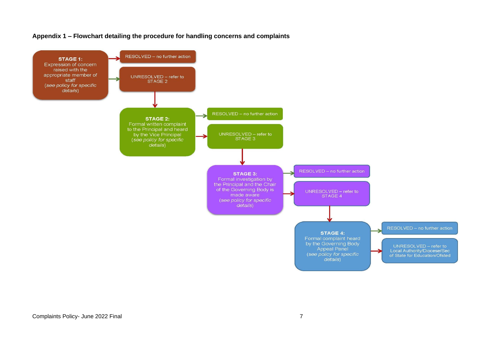

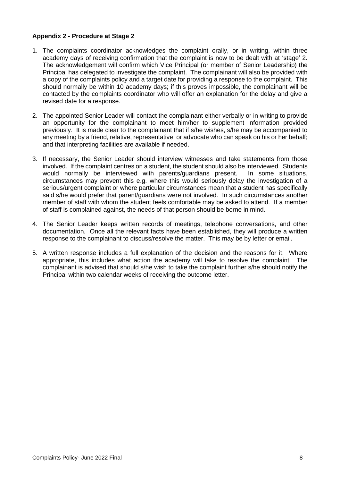# **Appendix 2 - Procedure at Stage 2**

- 1. The complaints coordinator acknowledges the complaint orally, or in writing, within three academy days of receiving confirmation that the complaint is now to be dealt with at 'stage' 2. The acknowledgement will confirm which Vice Principal (or member of Senior Leadership) the Principal has delegated to investigate the complaint. The complainant will also be provided with a copy of the complaints policy and a target date for providing a response to the complaint. This should normally be within 10 academy days; if this proves impossible, the complainant will be contacted by the complaints coordinator who will offer an explanation for the delay and give a revised date for a response.
- 2. The appointed Senior Leader will contact the complainant either verbally or in writing to provide an opportunity for the complainant to meet him/her to supplement information provided previously. It is made clear to the complainant that if s/he wishes, s/he may be accompanied to any meeting by a friend, relative, representative, or advocate who can speak on his or her behalf; and that interpreting facilities are available if needed.
- 3. If necessary, the Senior Leader should interview witnesses and take statements from those involved. If the complaint centres on a student, the student should also be interviewed. Students would normally be interviewed with parents/guardians present. In some situations, circumstances may prevent this e.g. where this would seriously delay the investigation of a serious/urgent complaint or where particular circumstances mean that a student has specifically said s/he would prefer that parent/guardians were not involved. In such circumstances another member of staff with whom the student feels comfortable may be asked to attend. If a member of staff is complained against, the needs of that person should be borne in mind.
- 4. The Senior Leader keeps written records of meetings, telephone conversations, and other documentation. Once all the relevant facts have been established, they will produce a written response to the complainant to discuss/resolve the matter. This may be by letter or email.
- 5. A written response includes a full explanation of the decision and the reasons for it. Where appropriate, this includes what action the academy will take to resolve the complaint. The complainant is advised that should s/he wish to take the complaint further s/he should notify the Principal within two calendar weeks of receiving the outcome letter.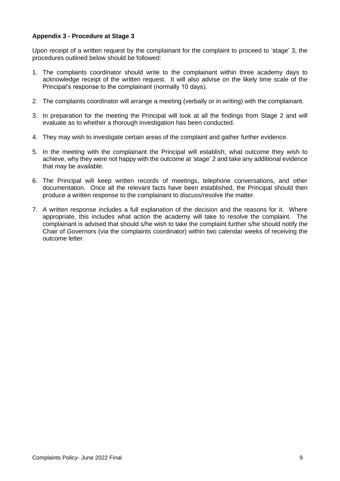# **Appendix 3 - Procedure at Stage 3**

Upon receipt of a written request by the complainant for the complaint to proceed to 'stage' 3, the procedures outlined below should be followed:

- 1. The complaints coordinator should write to the complainant within three academy days to acknowledge receipt of the written request. It will also advise on the likely time scale of the Principal's response to the complainant (normally 10 days).
- 2. The complaints coordinator will arrange a meeting (verbally or in writing) with the complainant.
- 3. In preparation for the meeting the Principal will look at all the findings from Stage 2 and will evaluate as to whether a thorough investigation has been conducted.
- 4. They may wish to investigate certain areas of the complaint and gather further evidence.
- 5. In the meeting with the complainant the Principal will establish; what outcome they wish to achieve, why they were not happy with the outcome at 'stage' 2 and take any additional evidence that may be available.
- 6. The Principal will keep written records of meetings, telephone conversations, and other documentation. Once all the relevant facts have been established, the Principal should then produce a written response to the complainant to discuss/resolve the matter.
- 7. A written response includes a full explanation of the decision and the reasons for it. Where appropriate, this includes what action the academy will take to resolve the complaint. The complainant is advised that should s/he wish to take the complaint further s/he should notify the Chair of Governors (via the complaints coordinator) within two calendar weeks of receiving the outcome letter.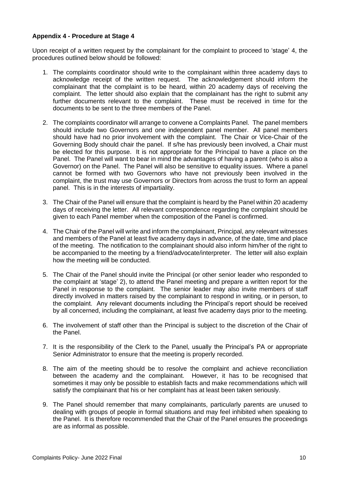## **Appendix 4 - Procedure at Stage 4**

Upon receipt of a written request by the complainant for the complaint to proceed to 'stage' 4, the procedures outlined below should be followed:

- 1. The complaints coordinator should write to the complainant within three academy days to acknowledge receipt of the written request. The acknowledgement should inform the complainant that the complaint is to be heard, within 20 academy days of receiving the complaint. The letter should also explain that the complainant has the right to submit any further documents relevant to the complaint. These must be received in time for the documents to be sent to the three members of the Panel.
- 2. The complaints coordinator will arrange to convene a Complaints Panel. The panel members should include two Governors and one independent panel member. All panel members should have had no prior involvement with the complaint. The Chair or Vice-Chair of the Governing Body should chair the panel. If s/he has previously been involved, a Chair must be elected for this purpose. It is not appropriate for the Principal to have a place on the Panel. The Panel will want to bear in mind the advantages of having a parent (who is also a Governor) on the Panel. The Panel will also be sensitive to equality issues. Where a panel cannot be formed with two Governors who have not previously been involved in the complaint, the trust may use Governors or Directors from across the trust to form an appeal panel. This is in the interests of impartiality.
- 3. The Chair of the Panel will ensure that the complaint is heard by the Panel within 20 academy days of receiving the letter. All relevant correspondence regarding the complaint should be given to each Panel member when the composition of the Panel is confirmed.
- 4. The Chair of the Panel will write and inform the complainant, Principal, any relevant witnesses and members of the Panel at least five academy days in advance, of the date, time and place of the meeting. The notification to the complainant should also inform him/her of the right to be accompanied to the meeting by a friend/advocate/interpreter. The letter will also explain how the meeting will be conducted.
- 5. The Chair of the Panel should invite the Principal (or other senior leader who responded to the complaint at 'stage' 2), to attend the Panel meeting and prepare a written report for the Panel in response to the complaint. The senior leader may also invite members of staff directly involved in matters raised by the complainant to respond in writing, or in person, to the complaint. Any relevant documents including the Principal's report should be received by all concerned, including the complainant, at least five academy days prior to the meeting.
- 6. The involvement of staff other than the Principal is subject to the discretion of the Chair of the Panel.
- 7. It is the responsibility of the Clerk to the Panel, usually the Principal's PA or appropriate Senior Administrator to ensure that the meeting is properly recorded.
- 8. The aim of the meeting should be to resolve the complaint and achieve reconciliation between the academy and the complainant. However, it has to be recognised that sometimes it may only be possible to establish facts and make recommendations which will satisfy the complainant that his or her complaint has at least been taken seriously.
- 9. The Panel should remember that many complainants, particularly parents are unused to dealing with groups of people in formal situations and may feel inhibited when speaking to the Panel. It is therefore recommended that the Chair of the Panel ensures the proceedings are as informal as possible.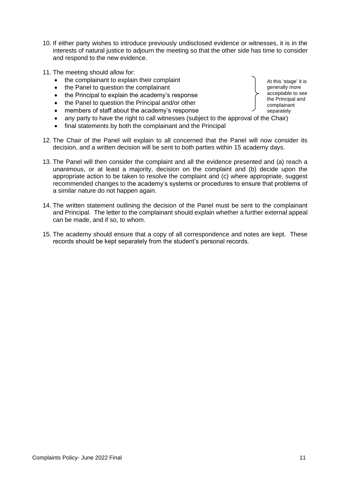- 10. If either party wishes to introduce previously undisclosed evidence or witnesses, it is in the interests of natural justice to adjourn the meeting so that the other side has time to consider and respond to the new evidence.
- 11. The meeting should allow for:
	- the complainant to explain their complaint
	- the Panel to question the complainant
	- the Principal to explain the academy's response
	- the Panel to question the Principal and/or other
	- members of staff about the academy's response
	- any party to have the right to call witnesses (subject to the approval of the Chair)
	- final statements by both the complainant and the Principal
- 12. The Chair of the Panel will explain to all concerned that the Panel will now consider its decision, and a written decision will be sent to both parties within 15 academy days.
- 13. The Panel will then consider the complaint and all the evidence presented and (a) reach a unanimous, or at least a majority, decision on the complaint and (b) decide upon the appropriate action to be taken to resolve the complaint and (c) where appropriate, suggest recommended changes to the academy's systems or procedures to ensure that problems of a similar nature do not happen again.
- 14. The written statement outlining the decision of the Panel must be sent to the complainant and Principal. The letter to the complainant should explain whether a further external appeal can be made, and if so, to whom.
- 15. The academy should ensure that a copy of all correspondence and notes are kept. These records should be kept separately from the student's personal records.

At this 'stage' it is generally more acceptable to see the Principal and complainant separately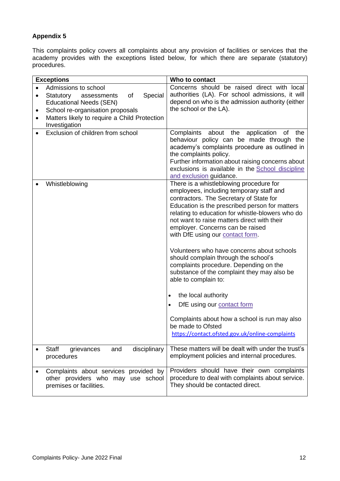# **Appendix 5**

This complaints policy covers all complaints about any provision of facilities or services that the academy provides with the exceptions listed below, for which there are separate (statutory) procedures.

| <b>Exceptions</b>                                                                                                                                                      | Who to contact                                                                                                                                                                                                                                                                                                                                              |
|------------------------------------------------------------------------------------------------------------------------------------------------------------------------|-------------------------------------------------------------------------------------------------------------------------------------------------------------------------------------------------------------------------------------------------------------------------------------------------------------------------------------------------------------|
| Admissions to school<br>$\bullet$<br>of<br>Special<br>Statutory<br>assessments<br>$\bullet$<br><b>Educational Needs (SEN)</b><br>School re-organisation proposals<br>٠ | Concerns should be raised direct with local<br>authorities (LA). For school admissions, it will<br>depend on who is the admission authority (either<br>the school or the LA).                                                                                                                                                                               |
| Matters likely to require a Child Protection<br>$\bullet$<br>Investigation                                                                                             |                                                                                                                                                                                                                                                                                                                                                             |
| Exclusion of children from school<br>$\bullet$                                                                                                                         | Complaints about the application<br>the<br>of<br>behaviour policy can be made through the<br>academy's complaints procedure as outlined in<br>the complaints policy.<br>Further information about raising concerns about<br>exclusions is available in the <b>School</b> discipline<br>and exclusion guidance.                                              |
| Whistleblowing                                                                                                                                                         | There is a whistleblowing procedure for<br>employees, including temporary staff and<br>contractors. The Secretary of State for<br>Education is the prescribed person for matters<br>relating to education for whistle-blowers who do<br>not want to raise matters direct with their<br>employer. Concerns can be raised<br>with DfE using our contact form. |
|                                                                                                                                                                        | Volunteers who have concerns about schools<br>should complain through the school's<br>complaints procedure. Depending on the<br>substance of the complaint they may also be<br>able to complain to:<br>the local authority<br>$\bullet$                                                                                                                     |
|                                                                                                                                                                        | DfE using our contact form<br>$\bullet$                                                                                                                                                                                                                                                                                                                     |
|                                                                                                                                                                        | Complaints about how a school is run may also<br>be made to Ofsted<br>https://contact.ofsted.gov.uk/online-complaints                                                                                                                                                                                                                                       |
| Staff<br>disciplinary<br>grievances<br>and<br>procedures                                                                                                               | These matters will be dealt with under the trust's<br>employment policies and internal procedures.                                                                                                                                                                                                                                                          |
| Complaints about services provided by<br>other providers who may use school<br>premises or facilities.                                                                 | Providers should have their own complaints<br>procedure to deal with complaints about service.<br>They should be contacted direct.                                                                                                                                                                                                                          |